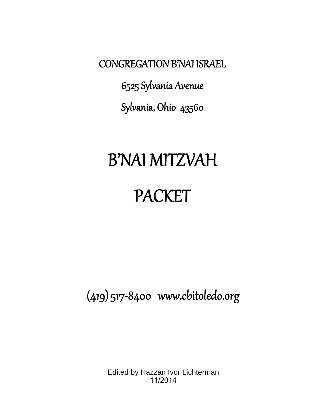<span id="page-0-0"></span>CONGREGATION B'NAI ISRAEL

6525 Sylvania Avenue Sylvania, Ohio 43560

# B'NAI MITZVAH

# PACKET

(419) 517‐8400 www.cbitoledo.org

Edited by Hazzan Ivor Lichterman 11/2014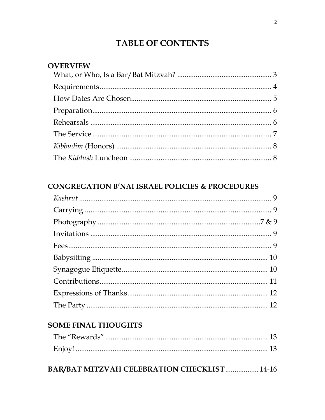# **TABLE OF CONTENTS**

<span id="page-1-0"></span>

| <b>OVERVIEW</b> |                                                                                                                                                                                                                                                                                                                                                                                              |  |  |  |
|-----------------|----------------------------------------------------------------------------------------------------------------------------------------------------------------------------------------------------------------------------------------------------------------------------------------------------------------------------------------------------------------------------------------------|--|--|--|
|                 |                                                                                                                                                                                                                                                                                                                                                                                              |  |  |  |
|                 | ${\bf Requirements.}.\hspace*{2em} .\hspace*{2em} .\hspace*{2em} .\hspace*{2em} .\hspace*{2em} .\hspace*{2em} .\hspace*{2em} .\hspace*{2em} .\hspace*{2em} .\hspace*{2em} .\hspace*{2em} .\hspace*{2em} .\hspace*{2em} .\hspace*{2em} .\hspace*{2em} .\hspace*{2em} .\hspace*{2em} .\hspace*{2em} .\hspace*{2em} .\hspace*{2em} .\hspace*{2em} .\hspace*{2em} .\hspace*{2em} .\hspace*{2em}$ |  |  |  |
|                 |                                                                                                                                                                                                                                                                                                                                                                                              |  |  |  |
|                 |                                                                                                                                                                                                                                                                                                                                                                                              |  |  |  |
|                 |                                                                                                                                                                                                                                                                                                                                                                                              |  |  |  |
|                 |                                                                                                                                                                                                                                                                                                                                                                                              |  |  |  |
|                 |                                                                                                                                                                                                                                                                                                                                                                                              |  |  |  |
|                 |                                                                                                                                                                                                                                                                                                                                                                                              |  |  |  |
|                 |                                                                                                                                                                                                                                                                                                                                                                                              |  |  |  |

# **CONGREGATION B'NAI ISRAEL POLICIES & PROCEDURES**

# **SOME FINAL THOUGHTS**

**BAR/BAT MITZVAH CELEBRATION CHECKLIST ................. 14-16**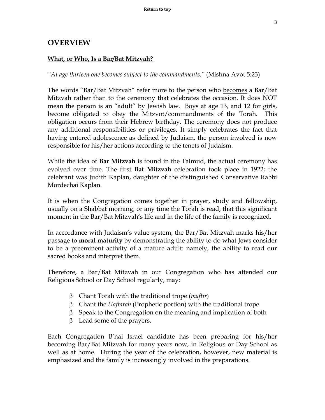# <span id="page-2-0"></span>**OVERVIEW**

#### **What, or Who, Is a Bar/Bat Mitzvah?**

*"At age thirteen one becomes subject to the commandments."* (Mishna Avot 5:23)

The words "Bar/Bat Mitzvah" refer more to the person who becomes a Bar/Bat Mitzvah rather than to the ceremony that celebrates the occasion. It does NOT mean the person is an "adult" by Jewish law. Boys at age 13, and 12 for girls, become obligated to obey the Mitzvot/commandments of the Torah. This obligation occurs from their Hebrew birthday. The ceremony does not produce any additional responsibilities or privileges. It simply celebrates the fact that having entered adolescence as defined by Judaism, the person involved is now responsible for his/her actions according to the tenets of Judaism.

While the idea of **Bar Mitzvah** is found in the Talmud, the actual ceremony has evolved over time. The first **Bat Mitzvah** celebration took place in 1922; the celebrant was Judith Kaplan, daughter of the distinguished Conservative Rabbi Mordechai Kaplan.

It is when the Congregation comes together in prayer, study and fellowship, usually on a Shabbat morning, or any time the Torah is read, that this significant moment in the Bar/Bat Mitzvah's life and in the life of the family is recognized.

In accordance with Judaism's value system, the Bar/Bat Mitzvah marks his/her passage to **moral maturity** by demonstrating the ability to do what Jews consider to be a preeminent activity of a mature adult: namely, the ability to read our sacred books and interpret them.

Therefore, a Bar/Bat Mitzvah in our Congregation who has attended our Religious School or Day School regularly, may:

- Chant Torah with the traditional trope (*maftir*)
- Chant the *Haftarah* (Prophetic portion) with the traditional trope
- $\beta$  Speak to the Congregation on the meaning and implication of both
- $\beta$  Lead some of the prayers.

Each Congregation B'nai Israel candidate has been preparing for his/her becoming Bar/Bat Mitzvah for many years now, in Religious or Day School as well as at home. During the year of the celebration, however, new material is emphasized and the family is increasingly involved in the preparations.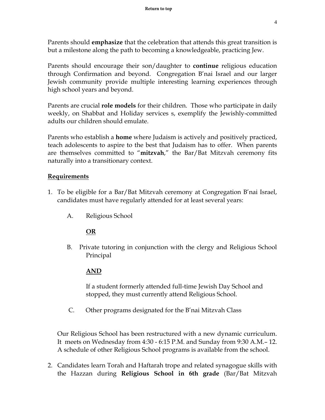<span id="page-3-0"></span>Parents should **emphasize** that the celebration that attends this great transition is but a milestone along the path to becoming a knowledgeable, practicing Jew.

Parents should encourage their son/daughter to **continue** religious education through Confirmation and beyond. Congregation B'nai Israel and our larger Jewish community provide multiple interesting learning experiences through high school years and beyond.

Parents are crucial **role models** for their children. Those who participate in daily weekly, on Shabbat and Holiday services s, exemplify the Jewishly-committed adults our children should emulate.

Parents who establish a **home** where Judaism is actively and positively practiced, teach adolescents to aspire to the best that Judaism has to offer. When parents are themselves committed to "**mitzvah**," the Bar/Bat Mitzvah ceremony fits naturally into a transitionary context.

# **Requirements**

- 1. To be eligible for a Bar/Bat Mitzvah ceremony at Congregation B'nai Israel, candidates must have regularly attended for at least several years:
	- A. Religious School

# **OR**

B. Private tutoring in conjunction with the clergy and Religious School Principal

# **AND**

If a student formerly attended full-time Jewish Day School and stopped, they must currently attend Religious School.

C. Other programs designated for the B'nai Mitzvah Class

Our Religious School has been restructured with a new dynamic curriculum. It meets on Wednesday from 4:30 - 6:15 P.M. and Sunday from 9:30 A.M.– 12. A schedule of other Religious School programs is available from the school.

2. Candidates learn Torah and Haftarah trope and related synagogue skills with the Hazzan during **Religious School in 6th grade** (Bar/Bat Mitzvah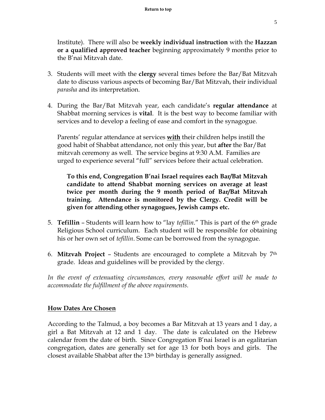<span id="page-4-0"></span>Institute). There will also be **weekly individual instruction** with the **Hazzan or a qualified approved teacher** beginning approximately 9 months prior to the B'nai Mitzvah date.

- 3. Students will meet with the **clergy** several times before the Bar/Bat Mitzvah date to discuss various aspects of becoming Bar/Bat Mitzvah, their individual *parasha* and its interpretation.
- 4. During the Bar/Bat Mitzvah year, each candidate's **regular attendance** at Shabbat morning services is **vital**. It is the best way to become familiar with services and to develop a feeling of ease and comfort in the synagogue.

Parents' regular attendance at services **with** their children helps instill the good habit of Shabbat attendance, not only this year, but **after** the Bar/Bat mitzvah ceremony as well. The service begins at 9:30 A.M. Families are urged to experience several "full" services before their actual celebration.

**To this end, Congregation B'nai Israel requires each Bar/Bat Mitzvah candidate to attend Shabbat morning services on average at least twice per month during the 9 month period of Bar/Bat Mitzvah training. Attendance is monitored by the Clergy. Credit will be given for attending other synagogues, Jewish camps etc.** 

- 5. **Tefillin** Students will learn how to "lay *tefillin*." This is part of the 6th grade Religious School curriculum. Each student will be responsible for obtaining his or her own set of *tefillin*. Some can be borrowed from the synagogue.
- 6. **Mitzvah Project** Students are encouraged to complete a Mitzvah by 7th grade. Ideas and guidelines will be provided by the clergy.

In the event of extenuating circumstances, every reasonable effort will be made to *accommodate the fulfillment of the above requirements.* 

#### **How Dates Are Chosen**

According to the Talmud, a boy becomes a Bar Mitzvah at 13 years and 1 day, a girl a Bat Mitzvah at 12 and 1 day. The date is calculated on the Hebrew calendar from the date of birth. Since Congregation B'nai Israel is an egalitarian congregation, dates are generally set for age 13 for both boys and girls. The closest available Shabbat after the 13th birthday is generally assigned.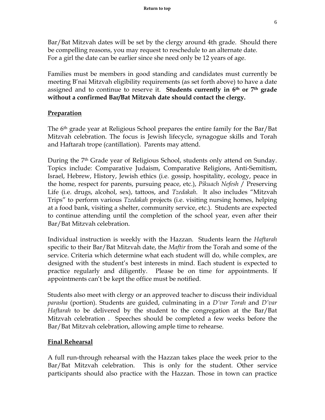<span id="page-5-0"></span>Bar/Bat Mitzvah dates will be set by the clergy around 4th grade. Should there be compelling reasons, you may request to reschedule to an alternate date. For a girl the date can be earlier since she need only be 12 years of age.

Families must be members in good standing and candidates must currently be meeting B'nai Mitzvah eligibility requirements (as set forth above) to have a date assigned and to continue to reserve it. **Students currently in 6th or 7th grade without a confirmed Bar/Bat Mitzvah date should contact the clergy.** 

#### **Preparation**

The 6th grade year at Religious School prepares the entire family for the Bar/Bat Mitzvah celebration. The focus is Jewish lifecycle, synagogue skills and Torah and Haftarah trope (cantillation). Parents may attend.

During the 7<sup>th</sup> Grade year of Religious School, students only attend on Sunday. Topics include: Comparative Judaism, Comparative Religions, Anti-Semitism, Israel, Hebrew, History, Jewish ethics (i.e. gossip, hospitality, ecology, peace in the home, respect for parents, pursuing peace, etc.), *Pikuach Nefesh* / Preserving Life (i.e. drugs, alcohol, sex), tattoos, and *Tzedakah*. It also includes "Mitzvah Trips" to perform various *Tzedakah* projects (i.e. visiting nursing homes, helping at a food bank, visiting a shelter, community service, etc.). Students are expected to continue attending until the completion of the school year, even after their Bar/Bat Mitzvah celebration.

Individual instruction is weekly with the Hazzan. Students learn the *Haftarah* specific to their Bar/Bat Mitzvah date, the *Maftir* from the Torah and some of the service. Criteria which determine what each student will do, while complex, are designed with the student's best interests in mind. Each student is expected to practice regularly and diligently. Please be on time for appointments. If appointments can't be kept the office must be notified.

Students also meet with clergy or an approved teacher to discuss their individual *parasha* (portion). Students are guided, culminating in a *D'var Torah* and *D'var Haftarah* to be delivered by the student to the congregation at the Bar/Bat Mitzvah celebration . Speeches should be completed a few weeks before the Bar/Bat Mitzvah celebration, allowing ample time to rehearse.

#### **Final Rehearsal**

A full run-through rehearsal with the Hazzan takes place the week prior to the Bar/Bat Mitzvah celebration. This is only for the student. Other service participants should also practice with the Hazzan. Those in town can practice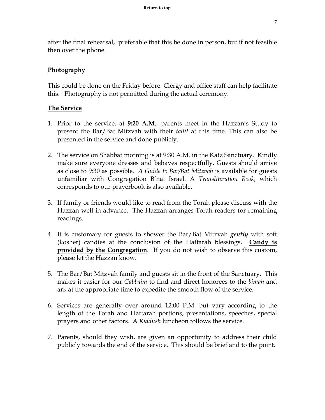7

<span id="page-6-0"></span>after the final rehearsal, preferable that this be done in person, but if not feasible then over the phone.

# **Photography**

This could be done on the Friday before. Clergy and office staff can help facilitate this. Photography is not permitted during the actual ceremony.

#### **The Service**

- 1. Prior to the service, at **9:20 A.M**., parents meet in the Hazzan's Study to present the Bar/Bat Mitzvah with their *tallit* at this time. This can also be presented in the service and done publicly.
- 2. The service on Shabbat morning is at 9:30 A.M. in the Katz Sanctuary. Kindly make sure everyone dresses and behaves respectfully. Guests should arrive as close to 9:30 as possible. *A Guide to Bar/Bat Mitzvah* is available for guests unfamiliar with Congregation B'nai Israel. A *Transliteration Book*, which corresponds to our prayerbook is also available.
- 3. If family or friends would like to read from the Torah please discuss with the Hazzan well in advance. The Hazzan arranges Torah readers for remaining readings.
- 4. It is customary for guests to shower the Bar/Bat Mitzvah *gently* with soft (kosher) candies at the conclusion of the Haftarah blessings**. Candy is provided by the Congregation**. If you do not wish to observe this custom, please let the Hazzan know.
- 5. The Bar/Bat Mitzvah family and guests sit in the front of the Sanctuary. This makes it easier for our *Gabbaim* to find and direct honorees to the *bimah* and ark at the appropriate time to expedite the smooth flow of the service.
- 6. Services are generally over around 12:00 P.M. but vary according to the length of the Torah and Haftarah portions, presentations, speeches, special prayers and other factors. A *Kiddush* luncheon follows the service.
- 7. Parents, should they wish, are given an opportunity to address their child publicly towards the end of the service. This should be brief and to the point.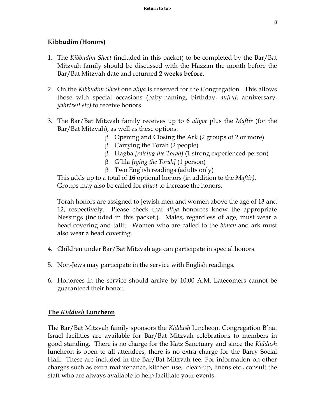# <span id="page-7-0"></span>**Kibbudim (Honors)**

- 1. The *Kibbudim Sheet* (included in this packet) to be completed by the Bar/Bat Mitzvah family should be discussed with the Hazzan the month before the Bar/Bat Mitzvah date and returned **2 weeks before.**
- 2. On the *Kibbudim Sheet* one *aliya* is reserved for the Congregation. This allows those with special occasions (baby-naming, birthday, *aufruf*, anniversary, *yahrtzeit etc)* to receive honors.
- 3. The Bar/Bat Mitzvah family receives up to 6 *aliyot* plus the *Maftir* (for the Bar/Bat Mitzvah), as well as these options:
	- $\beta$  Opening and Closing the Ark (2 groups of 2 or more)
	- $\beta$  Carrying the Torah (2 people)
	- Hagba *[raising the Torah]* (1 strong experienced person)
	- G'lila *[tying the Torah]* (1 person)
	- $\beta$  Two English readings (adults only)

 This adds up to a total of **16** optional honors (in addition to the *Maftir)*. Groups may also be called for *aliyot* to increase the honors.

Torah honors are assigned to Jewish men and women above the age of 13 and 12, respectively. Please check that *aliya* honorees know the appropriate blessings (included in this packet.). Males, regardless of age, must wear a head covering and tallit. Women who are called to the *bimah* and ark must also wear a head covering.

- 4. Children under Bar/Bat Mitzvah age can participate in special honors.
- 5. Non-Jews may participate in the service with English readings.
- 6. Honorees in the service should arrive by 10:00 A.M. Latecomers cannot be guaranteed their honor.

# **The** *Kiddush* **Luncheon**

The Bar/Bat Mitzvah family sponsors the *Kiddush* luncheon. Congregation B'nai Israel facilities are available for Bar/Bat Mitzvah celebrations to members in good standing. There is no charge for the Katz Sanctuary and since the *Kiddush* luncheon is open to all attendees, there is no extra charge for the Barry Social Hall. These are included in the Bar/Bat Mitzvah fee. For information on other charges such as extra maintenance, kitchen use, clean-up, linens etc., consult the staff who are always available to help facilitate your events.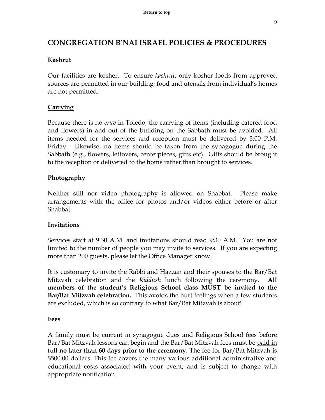# <span id="page-8-0"></span>**CONGREGATION B'NAI ISRAEL POLICIES & PROCEDURES**

# **Kashrut**

Our facilities are kosher. To ensure *kashrut*, only kosher foods from approved sources are permitted in our building; food and utensils from individual's homes are not permitted.

# **Carrying**

Because there is no *eruv* in Toledo, the carrying of items (including catered food and flowers) in and out of the building on the Sabbath must be avoided. All items needed for the services and reception must be delivered by 3:00 P.M. Friday. Likewise, no items should be taken from the synagogue during the Sabbath (e.g., flowers, leftovers, centerpieces, gifts etc). Gifts should be brought to the reception or delivered to the home rather than brought to services.

# **Photography**

Neither still nor video photography is allowed on Shabbat. Please make arrangements with the office for photos and/or videos either before or after Shabbat.

# **Invitations**

Services start at 9:30 A.M. and invitations should read 9:30 A.M. You are not limited to the number of people you may invite to services. If you are expecting more than 200 guests, please let the Office Manager know.

It is customary to invite the Rabbi and Hazzan and their spouses to the Bar/Bat Mitzvah celebration and the *Kiddush* lunch following the ceremony**. All members of the student's Religious School class MUST be invited to the Bar/Bat Mitzvah celebration.** This avoids the hurt feelings when a few students are excluded, which is so contrary to what Bar/Bat Mitzvah is about!

# **Fees**

A family must be current in synagogue dues and Religious School fees before Bar/Bat Mitzvah lessons can begin and the Bar/Bat Mitzvah fees must be paid in full **no later than 60 days prior to the ceremony**. The fee for Bar/Bat Mitzvah is \$500.00 dollars. This fee covers the many various additional administrative and educational costs associated with your event, and is subject to change with appropriate notification.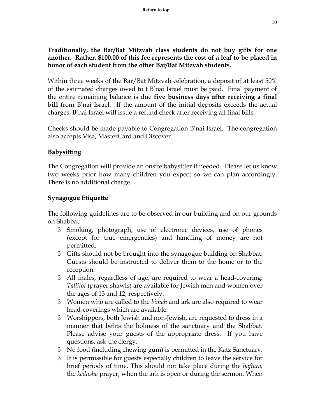<span id="page-9-0"></span>**Traditionally, the Bar/Bat Mitzvah class students do not buy gifts for one another. Rather, \$100.00 of this fee represents the cost of a leaf to be placed in honor of each student from the other Bar/Bat Mitzvah students.** 

Within three weeks of the Bar/Bat Mitzvah celebration, a deposit of at least 50% of the estimated charges owed to t B'nai Israel must be paid. Final payment of the entire remaining balance is due **five business days after receiving a final bill** from B'nai Israel. If the amount of the initial deposits exceeds the actual charges, B'nai Israel will issue a refund check after receiving all final bills.

Checks should be made payable to Congregation B'nai Israel. The congregation also accepts Visa, MasterCard and Discover.

# **Babysitting**

The Congregation will provide an onsite babysitter if needed. Please let us know two weeks prior how many children you expect so we can plan accordingly. There is no additional charge.

#### **Synagogue Etiquette**

The following guidelines are to be observed in our building and on our grounds on Shabbat:

- $\beta$  Smoking, photograph, use of electronic devices, use of phones (except for true emergencies) and handling of money are not permitted.
- $\beta$  Gifts should not be brought into the synagogue building on Shabbat. Guests should be instructed to deliver them to the home or to the reception.
- $\beta$  All males, regardless of age, are required to wear a head-covering. *Tallitot* (prayer shawls) are available for Jewish men and women over the ages of 13 and 12, respectively.
- Women who are called to the *bimah* and ark are also required to wear head-coverings which are available.
- $\beta$  Worshippers, both Jewish and non-Jewish, are requested to dress in a manner that befits the holiness of the sanctuary and the Shabbat. Please advise your guests of the appropriate dress. If you have questions, ask the clergy.
- $\beta$  No food (including chewing gum) is permitted in the Katz Sanctuary.
- $\beta$  It is permissible for guests especially children to leave the service for brief periods of time. This should not take place during the *haftara,*  the *kedusha* prayer, when the ark is open or during the sermon. When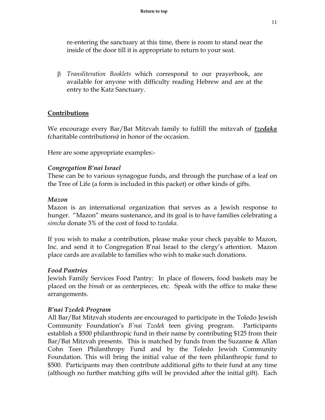<span id="page-10-0"></span>re-entering the sanctuary at this time, there is room to stand near the inside of the door till it is appropriate to return to your seat.

 *Transliteration Booklets* which correspond to our prayerbook, are available for anyone with difficulty reading Hebrew and are at the entry to the Katz Sanctuary.

#### **Contributions**

We encourage every Bar/Bat Mitzvah family to fulfill the mitzvah of *tzedaka (*charitable contributions*)* in honor of the occasion.

Here are some appropriate examples:-

#### *Congregation B'nai Israel*

These can be to various synagogue funds, and through the purchase of a leaf on the Tree of Life (a form is included in this packet) or other kinds of gifts.

#### *Mazon*

Mazon is an international organization that serves as a Jewish response to hunger. "Mazon" means sustenance, and its goal is to have families celebrating a *simcha* donate 3% of the cost of food to *tzedaka*.

If you wish to make a contribution, please make your check payable to Mazon, Inc. and send it to Congregation B'nai Israel to the clergy's attention. Mazon place cards are available to families who wish to make such donations.

#### *Food Pantries*

Jewish Family Services Food Pantry: In place of flowers, food baskets may be placed on the *bimah* or as centerpieces, etc. Speak with the office to make these arrangements.

#### *B'nai Tzedek Program*

All Bar/Bat Mitzvah students are encouraged to participate in the Toledo Jewish Community Foundation's *B'nai Tzedek* teen giving program. Participants establish a \$500 philanthropic fund in their name by contributing \$125 from their Bar/Bat Mitzvah presents. This is matched by funds from the Suzanne & Allan Cohn Teen Philanthropy Fund and by the Toledo Jewish Community Foundation. This will bring the initial value of the teen philanthropic fund to \$500. Participants may then contribute additional gifts to their fund at any time (although no further matching gifts will be provided after the initial gift). Each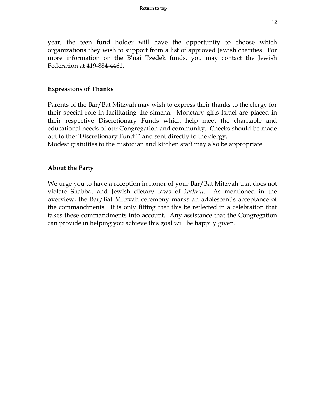<span id="page-11-0"></span>year, the teen fund holder will have the opportunity to choose which organizations they wish to support from a list of approved Jewish charities. For more information on the B'nai Tzedek funds, you may contact the Jewish Federation at 419-884-4461.

#### **Expressions of Thanks**

Parents of the Bar/Bat Mitzvah may wish to express their thanks to the clergy for their special role in facilitating the simcha. Monetary gifts Israel are placed in their respective Discretionary Funds which help meet the charitable and educational needs of our Congregation and community. Checks should be made out to the "Discretionary Fund"" and sent directly to the clergy.

Modest gratuities to the custodian and kitchen staff may also be appropriate.

#### **About the Party**

We urge you to have a reception in honor of your Bar/Bat Mitzvah that does not violate Shabbat and Jewish dietary laws of *kashrut.* As mentioned in the overview, the Bar/Bat Mitzvah ceremony marks an adolescent's acceptance of the commandments. It is only fitting that this be reflected in a celebration that takes these commandments into account. Any assistance that the Congregation can provide in helping you achieve this goal will be happily given.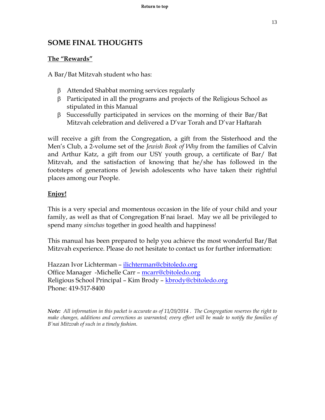# <span id="page-12-0"></span>**SOME FINAL THOUGHTS**

#### **The "Rewards"**

A Bar/Bat Mitzvah student who has:

- Attended Shabbat morning services regularly
- $\beta$  Participated in all the programs and projects of the Religious School as stipulated in this Manual
- $\beta$  Successfully participated in services on the morning of their Bar/Bat Mitzvah celebration and delivered a D'var Torah and D'var Haftarah

will receive a gift from the Congregation, a gift from the Sisterhood and the Men's Club, a 2-volume set of the *Jewish Book of Why* from the families of Calvin and Arthur Katz, a gift from our USY youth group, a certificate of Bar/ Bat Mitzvah, and the satisfaction of knowing that he/she has followed in the footsteps of generations of Jewish adolescents who have taken their rightful places among our People.

#### **Enjoy!**

This is a very special and momentous occasion in the life of your child and your family, as well as that of Congregation B'nai Israel. May we all be privileged to spend many *simchas* together in good health and happiness!

This manual has been prepared to help you achieve the most wonderful Bar/Bat Mitzvah experience. Please do not hesitate to contact us for further information:

Hazzan Ivor Lichterman – ilichterman@cbitoledo.org Office Manager -Michelle Carr – mcarr@cbitoledo.org Religious School Principal – Kim Brody – kbrody@cbitoledo.org Phone: 419-517-8400

*Note: All information in this packet is accurate as of 11/20/2014 . The Congregation reserves the right to make changes, additions and corrections as warranted; every effort will be made to notify the families of B'nai Mitzvah of such in a timely fashion.*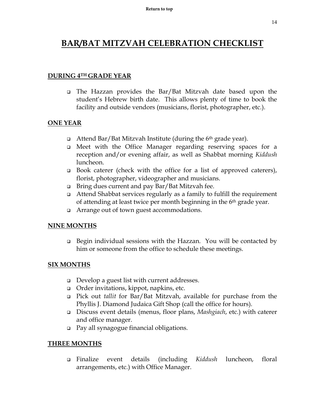# **[BAR/BAT MITZVAH CELEBRATION CHECKLIST](#page-12-0)**

#### **DURING 4TH GRADE YEAR**

 The Hazzan provides the Bar/Bat Mitzvah date based upon the student's Hebrew birth date. This allows plenty of time to book the facility and outside vendors (musicians, florist, photographer, etc.).

#### **ONE YEAR**

- $\Box$  Attend Bar/Bat Mitzvah Institute (during the 6<sup>th</sup> grade year).
- Meet with the Office Manager regarding reserving spaces for a reception and/or evening affair, as well as Shabbat morning *Kiddush* luncheon.
- Book caterer (check with the office for a list of approved caterers), florist, photographer, videographer and musicians.
- Bring dues current and pay Bar/Bat Mitzvah fee.
- Attend Shabbat services regularly as a family to fulfill the requirement of attending at least twice per month beginning in the 6th grade year.
- Arrange out of town guest accommodations.

#### **NINE MONTHS**

 Begin individual sessions with the Hazzan. You will be contacted by him or someone from the office to schedule these meetings.

#### **SIX MONTHS**

- Develop a guest list with current addresses.
- Order invitations, kippot, napkins, etc.
- Pick out *tallit* for Bar/Bat Mitzvah, available for purchase from the Phyllis J. Diamond Judaica Gift Shop (call the office for hours).
- Discuss event details (menus, floor plans, *Mashgiach*, etc.) with caterer and office manager.
- Pay all synagogue financial obligations.

#### **THREE MONTHS**

 Finalize event details (including *Kiddush* luncheon, floral arrangements, etc.) with Office Manager.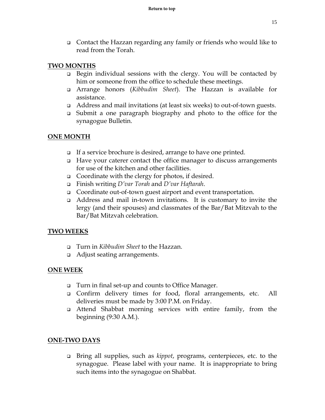Contact the Hazzan regarding any family or friends who would like to read from the Torah.

#### **TWO MONTHS**

- $\Box$  Begin individual sessions with the clergy. You will be contacted by him or someone from the office to schedule these meetings.
- Arrange honors (*Kibbudim Sheet*). The Hazzan is available for assistance.
- Address and mail invitations (at least six weeks) to out-of-town guests.
- Submit a one paragraph biography and photo to the office for the synagogue Bulletin.

#### **ONE MONTH**

- If a service brochure is desired, arrange to have one printed.
- $\Box$  Have your caterer contact the office manager to discuss arrangements for use of the kitchen and other facilities.
- Coordinate with the clergy for photos, if desired.
- Finish writing *D'var Torah* and *D'var Haftarah*.
- Coordinate out-of-town guest airport and event transportation.
- Address and mail in-town invitations. It is customary to invite the lergy (and their spouses) and classmates of the Bar/Bat Mitzvah to the Bar/Bat Mitzvah celebration.

#### **TWO WEEKS**

- Turn in *Kibbudim Sheet* to the Hazzan.
- □ Adjust seating arrangements.

# **ONE WEEK**

- Turn in final set-up and counts to Office Manager.
- Confirm delivery times for food, floral arrangements, etc. All deliveries must be made by 3:00 P.M. on Friday.
- Attend Shabbat morning services with entire family, from the beginning (9:30 A.M.).

#### **ONE-TWO DAYS**

 Bring all supplies, such as *kippot*, programs, centerpieces, etc. to the synagogue. Please label with your name. It is inappropriate to bring such items into the synagogue on Shabbat.